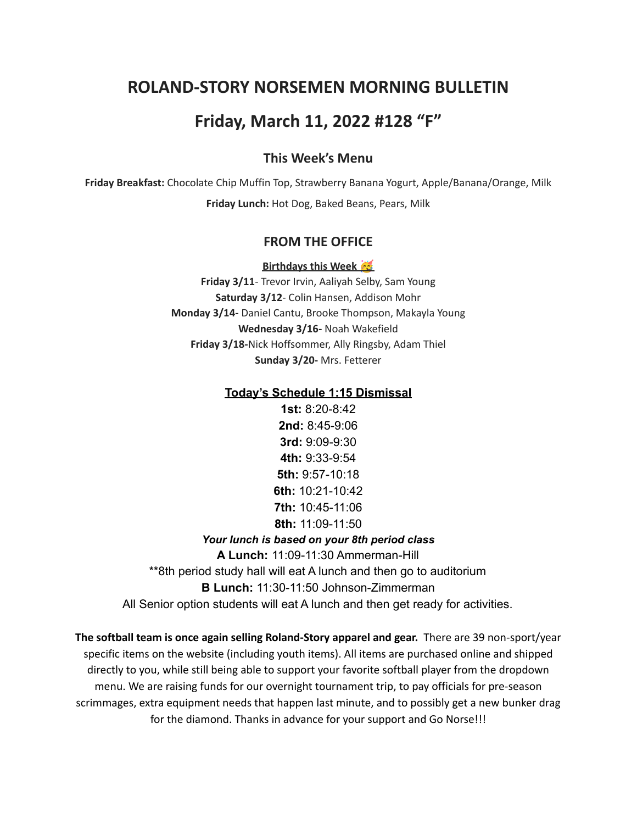# **ROLAND-STORY NORSEMEN MORNING BULLETIN**

# **Friday, March 11, 2022 #128 "F"**

## **This Week's Menu**

**Friday Breakfast:** Chocolate Chip Muffin Top, Strawberry Banana Yogurt, Apple/Banana/Orange, Milk **Friday Lunch:** Hot Dog, Baked Beans, Pears, Milk

### **FROM THE OFFICE**

**Birthdays this Week**

**Friday 3/11**- Trevor Irvin, Aaliyah Selby, Sam Young **Saturday 3/12**- Colin Hansen, Addison Mohr **Monday 3/14-** Daniel Cantu, Brooke Thompson, Makayla Young **Wednesday 3/16-** Noah Wakefield **Friday 3/18-**Nick Hoffsommer, Ally Ringsby, Adam Thiel **Sunday 3/20-** Mrs. Fetterer

#### **Today's Schedule 1:15 Dismissal**

**1st:** 8:20-8:42 **2nd:** 8:45-9:06 **3rd:** 9:09-9:30 **4th:** 9:33-9:54 **5th:** 9:57-10:18 **6th:** 10:21-10:42 **7th:** 10:45-11:06 **8th:** 11:09-11:50

#### *Your lunch is based on your 8th period class*

**A Lunch:** 11:09-11:30 Ammerman-Hill

\*\*8th period study hall will eat A lunch and then go to auditorium

**B Lunch:** 11:30-11:50 Johnson-Zimmerman

All Senior option students will eat A lunch and then get ready for activities.

**The softball team is once again selling Roland-Story apparel and gear.** There are 39 non-sport/year specific items on the website (including youth items). All items are purchased online and shipped directly to you, while still being able to support your favorite softball player from the dropdown menu. We are raising funds for our overnight tournament trip, to pay officials for pre-season scrimmages, extra equipment needs that happen last minute, and to possibly get a new bunker drag for the diamond. Thanks in advance for your support and Go Norse!!!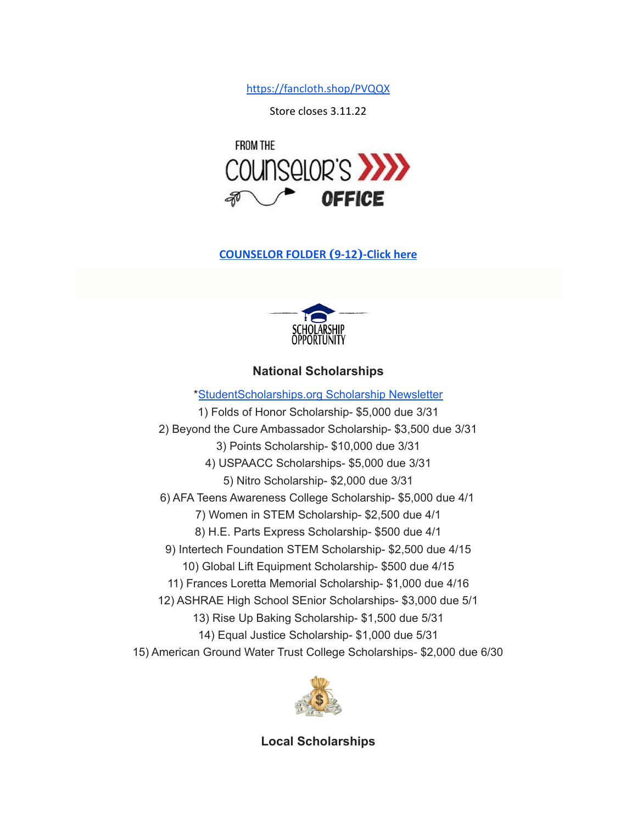<https://fancloth.shop/PVQQX>

Store closes 3.11.22



## **[COUNSELOR FOLDER](https://docs.google.com/document/d/1vmwczNPbDzXe9vFaG5LJMQ7NYDv-i4oQJHybqA65TUc/edit?usp=sharing) (9-12)-Click here**



# **National Scholarships**

\*[StudentScholarships.org](https://drive.google.com/file/d/1aKuYCxaIenxt8B4T0eqnsOyNXu4NmKys/view?usp=sharing) Scholarship Newsletter 1) Folds of Honor Scholarship- \$5,000 due 3/31 2) Beyond the Cure Ambassador Scholarship- \$3,500 due 3/31 3) Points Scholarship- \$10,000 due 3/31 4) USPAACC Scholarships- \$5,000 due 3/31 5) Nitro Scholarship- \$2,000 due 3/31 6) AFA Teens Awareness College Scholarship- \$5,000 due 4/1 7) Women in STEM Scholarship- \$2,500 due 4/1 8) H.E. Parts Express Scholarship- \$500 due 4/1 9) Intertech Foundation STEM Scholarship- \$2,500 due 4/15 10) Global Lift Equipment Scholarship- \$500 due 4/15 11) Frances Loretta Memorial Scholarship- \$1,000 due 4/16 12) ASHRAE High School SEnior Scholarships- \$3,000 due 5/1 13) Rise Up Baking Scholarship- \$1,500 due 5/31 14) Equal Justice Scholarship- \$1,000 due 5/31 15) American Ground Water Trust College Scholarships- \$2,000 due 6/30



**Local Scholarships**